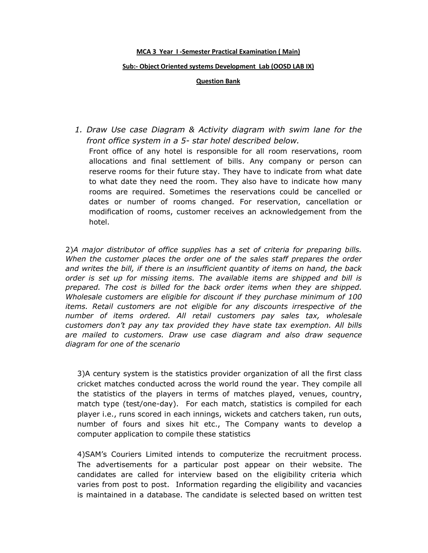## **MCA 3 Year I -Semester Practical Examination ( Main)**

## **Sub:- Object Oriented systems Development Lab (OOSD LAB IX)**

**Question Bank**

*1. Draw Use case Diagram & Activity diagram with swim lane for the front office system in a 5- star hotel described below.* Front office of any hotel is responsible for all room reservations, room allocations and final settlement of bills. Any company or person can reserve rooms for their future stay. They have to indicate from what date to what date they need the room. They also have to indicate how many rooms are required. Sometimes the reservations could be cancelled or dates or number of rooms changed. For reservation, cancellation or modification of rooms, customer receives an acknowledgement from the hotel.

2)*A major distributor of office supplies has a set of criteria for preparing bills.*  When the customer places the order one of the sales staff prepares the order *and writes the bill, if there is an insufficient quantity of items on hand, the back order is set up for missing items. The available items are shipped and bill is prepared. The cost is billed for the back order items when they are shipped. Wholesale customers are eligible for discount if they purchase minimum of 100 items. Retail customers are not eligible for any discounts irrespective of the number of items ordered. All retail customers pay sales tax, wholesale customers don't pay any tax provided they have state tax exemption. All bills are mailed to customers. Draw use case diagram and also draw sequence diagram for one of the scenario*

3)A century system is the statistics provider organization of all the first class cricket matches conducted across the world round the year. They compile all the statistics of the players in terms of matches played, venues, country, match type (test/one-day). For each match, statistics is compiled for each player i.e., runs scored in each innings, wickets and catchers taken, run outs, number of fours and sixes hit etc., The Company wants to develop a computer application to compile these statistics

4)SAM's Couriers Limited intends to computerize the recruitment process. The advertisements for a particular post appear on their website. The candidates are called for interview based on the eligibility criteria which varies from post to post. Information regarding the eligibility and vacancies is maintained in a database. The candidate is selected based on written test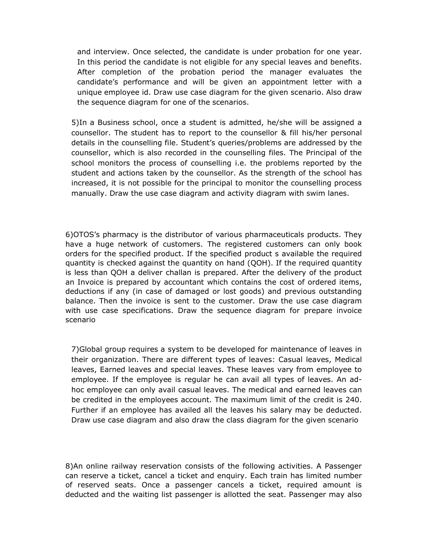and interview. Once selected, the candidate is under probation for one year. In this period the candidate is not eligible for any special leaves and benefits. After completion of the probation period the manager evaluates the candidate's performance and will be given an appointment letter with a unique employee id. Draw use case diagram for the given scenario. Also draw the sequence diagram for one of the scenarios.

5)In a Business school, once a student is admitted, he/she will be assigned a counsellor. The student has to report to the counsellor & fill his/her personal details in the counselling file. Student's queries/problems are addressed by the counsellor, which is also recorded in the counselling files. The Principal of the school monitors the process of counselling i.e. the problems reported by the student and actions taken by the counsellor. As the strength of the school has increased, it is not possible for the principal to monitor the counselling process manually. Draw the use case diagram and activity diagram with swim lanes.

6)OTOS's pharmacy is the distributor of various pharmaceuticals products. They have a huge network of customers. The registered customers can only book orders for the specified product. If the specified product s available the required quantity is checked against the quantity on hand (QOH). If the required quantity is less than QOH a deliver challan is prepared. After the delivery of the product an Invoice is prepared by accountant which contains the cost of ordered items, deductions if any (in case of damaged or lost goods) and previous outstanding balance. Then the invoice is sent to the customer. Draw the use case diagram with use case specifications. Draw the sequence diagram for prepare invoice scenario

7)Global group requires a system to be developed for maintenance of leaves in their organization. There are different types of leaves: Casual leaves, Medical leaves, Earned leaves and special leaves. These leaves vary from employee to employee. If the employee is regular he can avail all types of leaves. An adhoc employee can only avail casual leaves. The medical and earned leaves can be credited in the employees account. The maximum limit of the credit is 240. Further if an employee has availed all the leaves his salary may be deducted. Draw use case diagram and also draw the class diagram for the given scenario

8)An online railway reservation consists of the following activities. A Passenger can reserve a ticket, cancel a ticket and enquiry. Each train has limited number of reserved seats. Once a passenger cancels a ticket, required amount is deducted and the waiting list passenger is allotted the seat. Passenger may also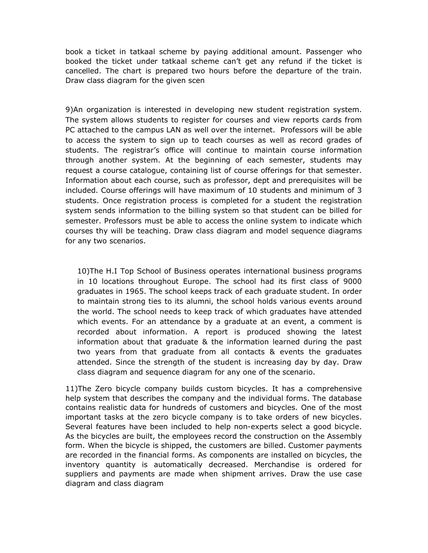book a ticket in tatkaal scheme by paying additional amount. Passenger who booked the ticket under tatkaal scheme can't get any refund if the ticket is cancelled. The chart is prepared two hours before the departure of the train. Draw class diagram for the given scen

9)An organization is interested in developing new student registration system. The system allows students to register for courses and view reports cards from PC attached to the campus LAN as well over the internet. Professors will be able to access the system to sign up to teach courses as well as record grades of students. The registrar's office will continue to maintain course information through another system. At the beginning of each semester, students may request a course catalogue, containing list of course offerings for that semester. Information about each course, such as professor, dept and prerequisites will be included. Course offerings will have maximum of 10 students and minimum of 3 students. Once registration process is completed for a student the registration system sends information to the billing system so that student can be billed for semester. Professors must be able to access the online system to indicate which courses thy will be teaching. Draw class diagram and model sequence diagrams for any two scenarios.

10)The H.I Top School of Business operates international business programs in 10 locations throughout Europe. The school had its first class of 9000 graduates in 1965. The school keeps track of each graduate student. In order to maintain strong ties to its alumni, the school holds various events around the world. The school needs to keep track of which graduates have attended which events. For an attendance by a graduate at an event, a comment is recorded about information. A report is produced showing the latest information about that graduate & the information learned during the past two years from that graduate from all contacts & events the graduates attended. Since the strength of the student is increasing day by day. Draw class diagram and sequence diagram for any one of the scenario.

11)The Zero bicycle company builds custom bicycles. It has a comprehensive help system that describes the company and the individual forms. The database contains realistic data for hundreds of customers and bicycles. One of the most important tasks at the zero bicycle company is to take orders of new bicycles. Several features have been included to help non-experts select a good bicycle. As the bicycles are built, the employees record the construction on the Assembly form. When the bicycle is shipped, the customers are billed. Customer payments are recorded in the financial forms. As components are installed on bicycles, the inventory quantity is automatically decreased. Merchandise is ordered for suppliers and payments are made when shipment arrives. Draw the use case diagram and class diagram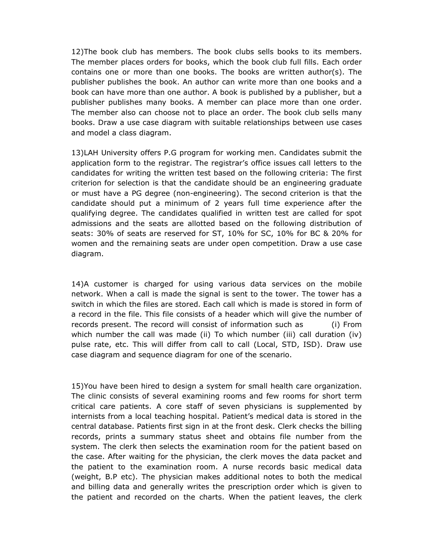12)The book club has members. The book clubs sells books to its members. The member places orders for books, which the book club full fills. Each order contains one or more than one books. The books are written author(s). The publisher publishes the book. An author can write more than one books and a book can have more than one author. A book is published by a publisher, but a publisher publishes many books. A member can place more than one order. The member also can choose not to place an order. The book club sells many books. Draw a use case diagram with suitable relationships between use cases and model a class diagram.

13)LAH University offers P.G program for working men. Candidates submit the application form to the registrar. The registrar's office issues call letters to the candidates for writing the written test based on the following criteria: The first criterion for selection is that the candidate should be an engineering graduate or must have a PG degree (non-engineering). The second criterion is that the candidate should put a minimum of 2 years full time experience after the qualifying degree. The candidates qualified in written test are called for spot admissions and the seats are allotted based on the following distribution of seats: 30% of seats are reserved for ST, 10% for SC, 10% for BC & 20% for women and the remaining seats are under open competition. Draw a use case diagram.

14)A customer is charged for using various data services on the mobile network. When a call is made the signal is sent to the tower. The tower has a switch in which the files are stored. Each call which is made is stored in form of a record in the file. This file consists of a header which will give the number of records present. The record will consist of information such as (i) From which number the call was made (ii) To which number (iii) call duration (iv) pulse rate, etc. This will differ from call to call (Local, STD, ISD). Draw use case diagram and sequence diagram for one of the scenario.

15)You have been hired to design a system for small health care organization. The clinic consists of several examining rooms and few rooms for short term critical care patients. A core staff of seven physicians is supplemented by internists from a local teaching hospital. Patient's medical data is stored in the central database. Patients first sign in at the front desk. Clerk checks the billing records, prints a summary status sheet and obtains file number from the system. The clerk then selects the examination room for the patient based on the case. After waiting for the physician, the clerk moves the data packet and the patient to the examination room. A nurse records basic medical data (weight, B.P etc). The physician makes additional notes to both the medical and billing data and generally writes the prescription order which is given to the patient and recorded on the charts. When the patient leaves, the clerk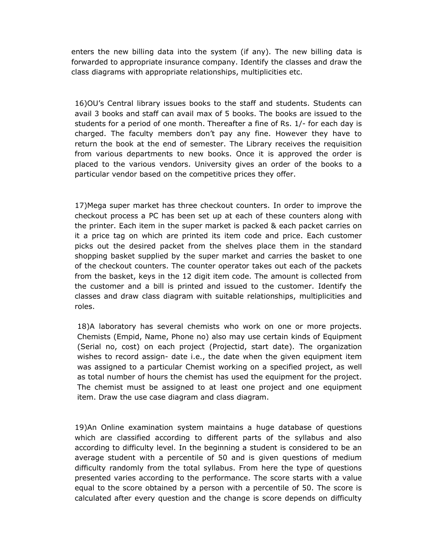enters the new billing data into the system (if any). The new billing data is forwarded to appropriate insurance company. Identify the classes and draw the class diagrams with appropriate relationships, multiplicities etc.

16)OU's Central library issues books to the staff and students. Students can avail 3 books and staff can avail max of 5 books. The books are issued to the students for a period of one month. Thereafter a fine of Rs. 1/- for each day is charged. The faculty members don't pay any fine. However they have to return the book at the end of semester. The Library receives the requisition from various departments to new books. Once it is approved the order is placed to the various vendors. University gives an order of the books to a particular vendor based on the competitive prices they offer.

17)Mega super market has three checkout counters. In order to improve the checkout process a PC has been set up at each of these counters along with the printer. Each item in the super market is packed & each packet carries on it a price tag on which are printed its item code and price. Each customer picks out the desired packet from the shelves place them in the standard shopping basket supplied by the super market and carries the basket to one of the checkout counters. The counter operator takes out each of the packets from the basket, keys in the 12 digit item code. The amount is collected from the customer and a bill is printed and issued to the customer. Identify the classes and draw class diagram with suitable relationships, multiplicities and roles.

18)A laboratory has several chemists who work on one or more projects. Chemists (Empid, Name, Phone no) also may use certain kinds of Equipment (Serial no, cost) on each project (Projectid, start date). The organization wishes to record assign- date i.e., the date when the given equipment item was assigned to a particular Chemist working on a specified project, as well as total number of hours the chemist has used the equipment for the project. The chemist must be assigned to at least one project and one equipment item. Draw the use case diagram and class diagram.

19)An Online examination system maintains a huge database of questions which are classified according to different parts of the syllabus and also according to difficulty level. In the beginning a student is considered to be an average student with a percentile of 50 and is given questions of medium difficulty randomly from the total syllabus. From here the type of questions presented varies according to the performance. The score starts with a value equal to the score obtained by a person with a percentile of 50. The score is calculated after every question and the change is score depends on difficulty